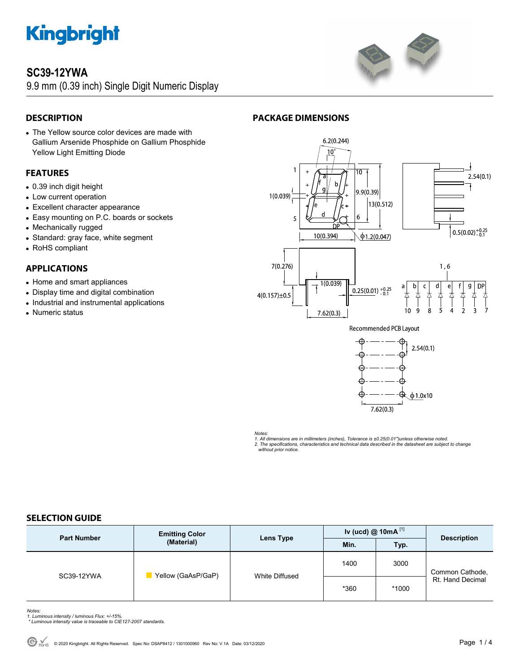

## **SC39-12YWA**

9.9 mm (0.39 inch) Single Digit Numeric Display



## **DESCRIPTION**

• The Yellow source color devices are made with Gallium Arsenide Phosphide on Gallium Phosphide Yellow Light Emitting Diode

## **FEATURES**

- 0.39 inch digit height
- Low current operation
- Excellent character appearance
- Easy mounting on P.C. boards or sockets
- Mechanically rugged
- Standard: gray face, white segment
- RoHS compliant

## **APPLICATIONS**

- Home and smart appliances
- Display time and digital combination
- Industrial and instrumental applications
- Numeric status





**Recommended PCB Layout** 



*Notes:* 

*1. All dimensions are in millimeters (inches), Tolerance is ±0.25(0.01")unless otherwise noted. 2. The specifications, characteristics and technical data described in the datasheet are subject to change without prior notice.* 

## **SELECTION GUIDE**

| <b>Part Number</b> | <b>Emitting Color</b><br>(Material) | Lens Type      | Iv (ucd) $@ 10mA$ <sup>[1]</sup> |       | <b>Description</b>                  |
|--------------------|-------------------------------------|----------------|----------------------------------|-------|-------------------------------------|
|                    |                                     |                | Min.                             | Typ.  |                                     |
| SC39-12YWA         | Yellow (GaAsP/GaP)                  | White Diffused | 1400                             | 3000  | Common Cathode,<br>Rt. Hand Decimal |
|                    |                                     |                | *360                             | *1000 |                                     |

*Notes: 1. Luminous intensity / luminous Flux: +/-15%.* 

 *\* Luminous intensity value is traceable to CIE127-2007 standards.*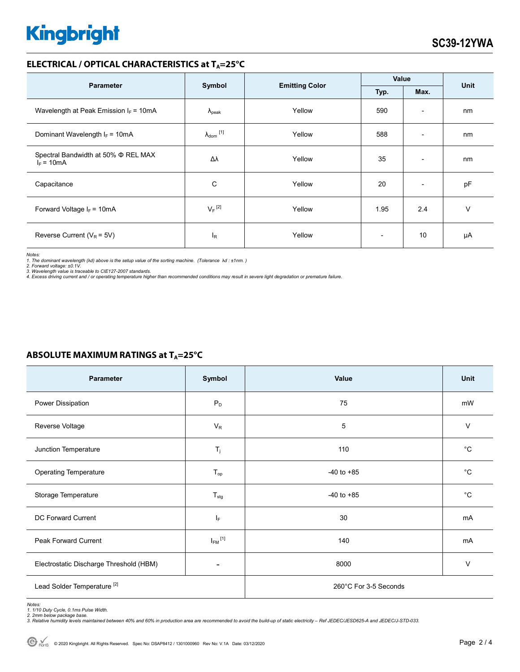# **Kingbright**

## **ELECTRICAL / OPTICAL CHARACTERISTICS at T<sub>A</sub>=25°C**

| <b>Parameter</b>                                         |                                                 |        | Value |                          | <b>Unit</b> |
|----------------------------------------------------------|-------------------------------------------------|--------|-------|--------------------------|-------------|
|                                                          | Symbol<br><b>Emitting Color</b><br>Max.<br>Typ. |        |       |                          |             |
| Wavelength at Peak Emission $I_F = 10mA$                 | $\Lambda_{\rm peak}$                            | Yellow | 590   | $\overline{\phantom{a}}$ | nm          |
| Dominant Wavelength $I_F = 10mA$                         | $\lambda_{\text{dom}}$ [1]                      | Yellow | 588   | $\overline{\phantom{a}}$ | nm          |
| Spectral Bandwidth at 50% $\Phi$ REL MAX<br>$I_F = 10mA$ | Δλ                                              | Yellow | 35    | $\overline{\phantom{a}}$ | nm          |
| Capacitance                                              | С                                               | Yellow | 20    | $\overline{\phantom{a}}$ | pF          |
| Forward Voltage $I_F$ = 10mA                             | $V_F$ <sup>[2]</sup>                            | Yellow | 1.95  | 2.4                      | v           |
| Reverse Current ( $V_R$ = 5V)                            | <sub>R</sub>                                    | Yellow |       | 10                       | μA          |

*Notes: 1. The dominant wavelength (*λ*d) above is the setup value of the sorting machine. (Tolerance* λ*d : ±1nm. )* 

2. Forward voltage: ±0.1V.<br>3. Wavelength value is traceable to CIE127-2007 standards.<br>4. Excess driving current and / or operating temperature higher than recommended conditions may result in severe light degradation or pr

## **ABSOLUTE MAXIMUM RATINGS at T<sub>A</sub>=25°C**

| Parameter                               | Symbol                  | Value                 | Unit        |  |
|-----------------------------------------|-------------------------|-----------------------|-------------|--|
| Power Dissipation                       | $P_D$                   | 75                    | mW          |  |
| Reverse Voltage                         | $V_{R}$                 | 5                     | $\vee$      |  |
| Junction Temperature                    | $T_j$                   | 110                   | $^{\circ}C$ |  |
| <b>Operating Temperature</b>            | $T_{op}$                | $-40$ to $+85$        | $^{\circ}C$ |  |
| Storage Temperature                     | $T_{\text{stg}}$        | $-40$ to $+85$        | $^{\circ}C$ |  |
| DC Forward Current                      | IF.                     | 30                    | mA          |  |
| Peak Forward Current                    | $I_{FM}$ <sup>[1]</sup> | 140                   | mA          |  |
| Electrostatic Discharge Threshold (HBM) |                         | 8000                  | $\vee$      |  |
| Lead Solder Temperature <sup>[2]</sup>  |                         | 260°C For 3-5 Seconds |             |  |

Notes:<br>1. 1/10 Duty Cycle, 0.1ms Pulse Width.<br>2. 2mm below package base.<br>3. Relative humidity levels maintained between 40% and 60% in production area are recommended to avoid the build-up of static electricity – Ref JEDEC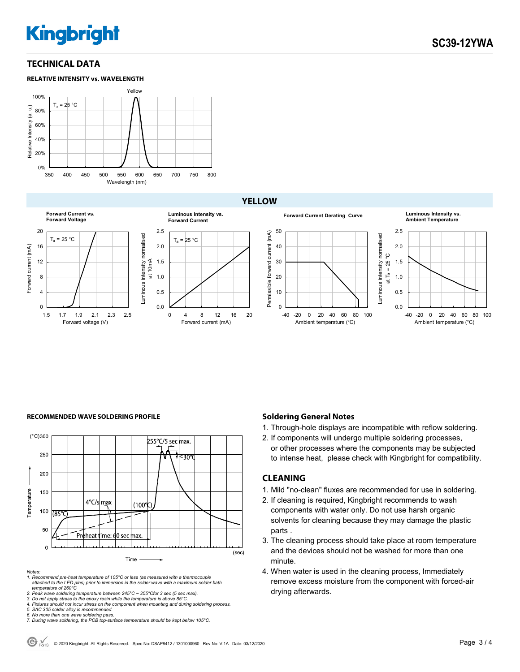## **Kingbright**

## **TECHNICAL DATA**





## **YELLOW**



## 0 4 8 12 16 20  $T_a = 25 °C$ Forward current (mA) **Luminous Intensity vs. Forward Current**



### **RECOMMENDED WAVE SOLDERING PROFILE <b>A CONDUCT A CONDUCT SOLDERING PROFILE Soldering General Notes**



*Notes:* 

- *1. Recommend pre-heat temperature of 105°C or less (as measured with a thermocouple attached to the LED pins) prior to immersion in the solder wave with a maximum solder bath temperature of 260°C*
- 
- 
- 2. Peak wave soldering temperature between 245°C ~ 255°Cfor 3 sec (5 sec max).<br>3. Do not apply stress to the epoxy resin while the temperature is above 85°C.<br>4. Fixtures should not incur stress on the component when mounti
- *5. SAC 305 solder alloy is recommended.*
- 
- *6. No more than one wave soldering pass. 7. During wave soldering, the PCB top-surface temperature should be kept below 105°C.*

- 1. Through-hole displays are incompatible with reflow soldering.
- 2. If components will undergo multiple soldering processes, or other processes where the components may be subjected to intense heat, please check with Kingbright for compatibility.

### **CLEANING**

- 1. Mild "no-clean" fluxes are recommended for use in soldering.
- 2. If cleaning is required, Kingbright recommends to wash components with water only. Do not use harsh organic solvents for cleaning because they may damage the plastic parts .
- 3. The cleaning process should take place at room temperature and the devices should not be washed for more than one minute.
- 4. When water is used in the cleaning process, Immediately remove excess moisture from the component with forced-air drying afterwards.